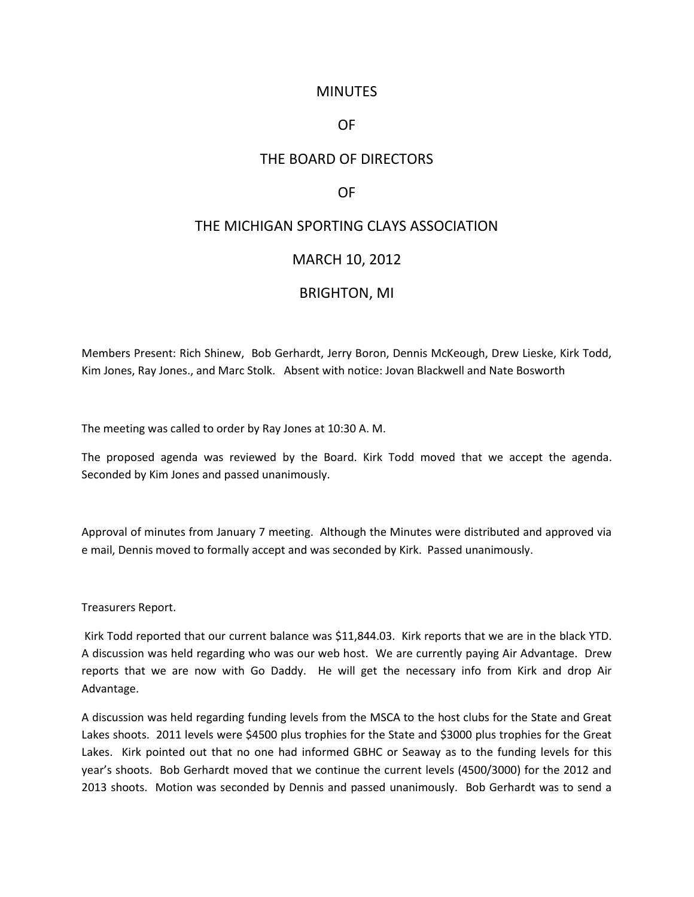## **MINUTES**

## OF

# THE BOARD OF DIRECTORS

## OF

# THE MICHIGAN SPORTING CLAYS ASSOCIATION

### MARCH 10, 2012

#### BRIGHTON, MI

Members Present: Rich Shinew, Bob Gerhardt, Jerry Boron, Dennis McKeough, Drew Lieske, Kirk Todd, Kim Jones, Ray Jones., and Marc Stolk. Absent with notice: Jovan Blackwell and Nate Bosworth

The meeting was called to order by Ray Jones at 10:30 A. M.

The proposed agenda was reviewed by the Board. Kirk Todd moved that we accept the agenda. Seconded by Kim Jones and passed unanimously.

Approval of minutes from January 7 meeting. Although the Minutes were distributed and approved via e mail, Dennis moved to formally accept and was seconded by Kirk. Passed unanimously.

Treasurers Report.

Kirk Todd reported that our current balance was \$11,844.03. Kirk reports that we are in the black YTD. A discussion was held regarding who was our web host. We are currently paying Air Advantage. Drew reports that we are now with Go Daddy. He will get the necessary info from Kirk and drop Air Advantage.

A discussion was held regarding funding levels from the MSCA to the host clubs for the State and Great Lakes shoots. 2011 levels were \$4500 plus trophies for the State and \$3000 plus trophies for the Great Lakes. Kirk pointed out that no one had informed GBHC or Seaway as to the funding levels for this year's shoots. Bob Gerhardt moved that we continue the current levels (4500/3000) for the 2012 and 2013 shoots. Motion was seconded by Dennis and passed unanimously. Bob Gerhardt was to send a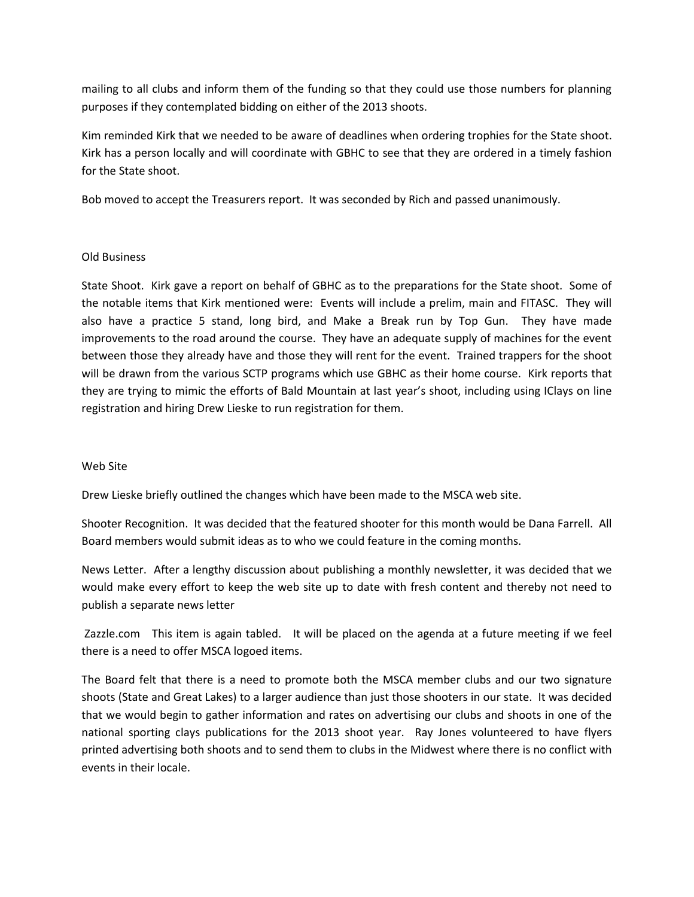mailing to all clubs and inform them of the funding so that they could use those numbers for planning purposes if they contemplated bidding on either of the 2013 shoots.

Kim reminded Kirk that we needed to be aware of deadlines when ordering trophies for the State shoot. Kirk has a person locally and will coordinate with GBHC to see that they are ordered in a timely fashion for the State shoot.

Bob moved to accept the Treasurers report. It was seconded by Rich and passed unanimously.

#### Old Business

State Shoot. Kirk gave a report on behalf of GBHC as to the preparations for the State shoot. Some of the notable items that Kirk mentioned were: Events will include a prelim, main and FITASC. They will also have a practice 5 stand, long bird, and Make a Break run by Top Gun. They have made improvements to the road around the course. They have an adequate supply of machines for the event between those they already have and those they will rent for the event. Trained trappers for the shoot will be drawn from the various SCTP programs which use GBHC as their home course. Kirk reports that they are trying to mimic the efforts of Bald Mountain at last year's shoot, including using IClays on line registration and hiring Drew Lieske to run registration for them.

#### Web Site

Drew Lieske briefly outlined the changes which have been made to the MSCA web site.

Shooter Recognition. It was decided that the featured shooter for this month would be Dana Farrell. All Board members would submit ideas as to who we could feature in the coming months.

News Letter. After a lengthy discussion about publishing a monthly newsletter, it was decided that we would make every effort to keep the web site up to date with fresh content and thereby not need to publish a separate news letter

Zazzle.com This item is again tabled. It will be placed on the agenda at a future meeting if we feel there is a need to offer MSCA logoed items.

The Board felt that there is a need to promote both the MSCA member clubs and our two signature shoots (State and Great Lakes) to a larger audience than just those shooters in our state. It was decided that we would begin to gather information and rates on advertising our clubs and shoots in one of the national sporting clays publications for the 2013 shoot year. Ray Jones volunteered to have flyers printed advertising both shoots and to send them to clubs in the Midwest where there is no conflict with events in their locale.